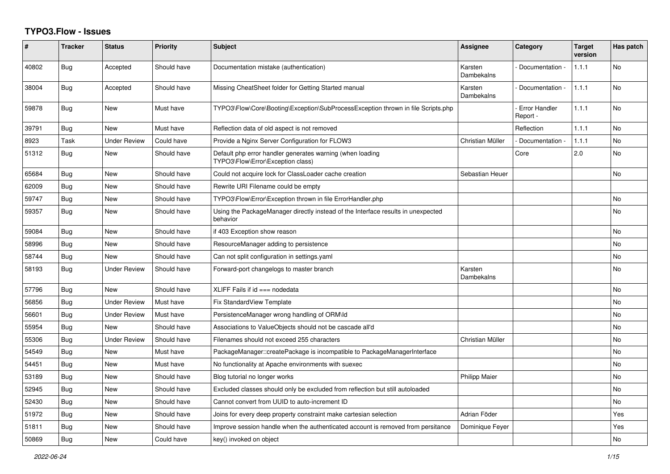## **TYPO3.Flow - Issues**

| ∦     | <b>Tracker</b> | <b>Status</b>       | <b>Priority</b> | <b>Subject</b>                                                                                 | <b>Assignee</b>       | Category                         | <b>Target</b><br>version | Has patch |
|-------|----------------|---------------------|-----------------|------------------------------------------------------------------------------------------------|-----------------------|----------------------------------|--------------------------|-----------|
| 40802 | <b>Bug</b>     | Accepted            | Should have     | Documentation mistake (authentication)                                                         | Karsten<br>Dambekalns | Documentation -                  | 1.1.1                    | <b>No</b> |
| 38004 | <b>Bug</b>     | Accepted            | Should have     | Missing CheatSheet folder for Getting Started manual                                           | Karsten<br>Dambekalns | Documentation -                  | 1.1.1                    | No        |
| 59878 | <b>Bug</b>     | <b>New</b>          | Must have       | TYPO3\Flow\Core\Booting\Exception\SubProcessException thrown in file Scripts.php               |                       | <b>Error Handler</b><br>Report - | 1.1.1                    | No        |
| 39791 | Bug            | <b>New</b>          | Must have       | Reflection data of old aspect is not removed                                                   |                       | Reflection                       | 1.1.1                    | No        |
| 8923  | Task           | <b>Under Review</b> | Could have      | Provide a Nginx Server Configuration for FLOW3                                                 | Christian Müller      | Documentation -                  | 1.1.1                    | No        |
| 51312 | <b>Bug</b>     | <b>New</b>          | Should have     | Default php error handler generates warning (when loading<br>TYPO3\Flow\Error\Exception class) |                       | Core                             | 2.0                      | No        |
| 65684 | Bug            | <b>New</b>          | Should have     | Could not acquire lock for ClassLoader cache creation                                          | Sebastian Heuer       |                                  |                          | No        |
| 62009 | Bug            | <b>New</b>          | Should have     | Rewrite URI Filename could be empty                                                            |                       |                                  |                          |           |
| 59747 | Bug            | <b>New</b>          | Should have     | TYPO3\Flow\Error\Exception thrown in file ErrorHandler.php                                     |                       |                                  |                          | No        |
| 59357 | Bug            | <b>New</b>          | Should have     | Using the PackageManager directly instead of the Interface results in unexpected<br>behavior   |                       |                                  |                          | No        |
| 59084 | <b>Bug</b>     | <b>New</b>          | Should have     | if 403 Exception show reason                                                                   |                       |                                  |                          | <b>No</b> |
| 58996 | Bug            | <b>New</b>          | Should have     | ResourceManager adding to persistence                                                          |                       |                                  |                          | No        |
| 58744 | Bug            | <b>New</b>          | Should have     | Can not split configuration in settings yaml                                                   |                       |                                  |                          | No        |
| 58193 | <b>Bug</b>     | <b>Under Review</b> | Should have     | Forward-port changelogs to master branch                                                       | Karsten<br>Dambekalns |                                  |                          | No        |
| 57796 | Bug            | New                 | Should have     | XLIFF Fails if id === nodedata                                                                 |                       |                                  |                          | No        |
| 56856 | Bug            | <b>Under Review</b> | Must have       | <b>Fix StandardView Template</b>                                                               |                       |                                  |                          | No        |
| 56601 | Bug            | <b>Under Review</b> | Must have       | PersistenceManager wrong handling of ORM\ld                                                    |                       |                                  |                          | No        |
| 55954 | Bug            | <b>New</b>          | Should have     | Associations to ValueObjects should not be cascade all'd                                       |                       |                                  |                          | No        |
| 55306 | <b>Bug</b>     | <b>Under Review</b> | Should have     | Filenames should not exceed 255 characters                                                     | Christian Müller      |                                  |                          | <b>No</b> |
| 54549 | Bug            | <b>New</b>          | Must have       | PackageManager::createPackage is incompatible to PackageManagerInterface                       |                       |                                  |                          | No        |
| 54451 | Bug            | <b>New</b>          | Must have       | No functionality at Apache environments with suexec                                            |                       |                                  |                          | No        |
| 53189 | <b>Bug</b>     | <b>New</b>          | Should have     | Blog tutorial no longer works                                                                  | <b>Philipp Maier</b>  |                                  |                          | No        |
| 52945 | <b>Bug</b>     | <b>New</b>          | Should have     | Excluded classes should only be excluded from reflection but still autoloaded                  |                       |                                  |                          | No        |
| 52430 | Bug            | <b>New</b>          | Should have     | Cannot convert from UUID to auto-increment ID                                                  |                       |                                  |                          | No        |
| 51972 | Bug            | <b>New</b>          | Should have     | Joins for every deep property constraint make cartesian selection                              | Adrian Föder          |                                  |                          | Yes       |
| 51811 | Bug            | <b>New</b>          | Should have     | Improve session handle when the authenticated account is removed from persitance               | Dominique Feyer       |                                  |                          | Yes       |
| 50869 | Bug            | <b>New</b>          | Could have      | key() invoked on object                                                                        |                       |                                  |                          | No        |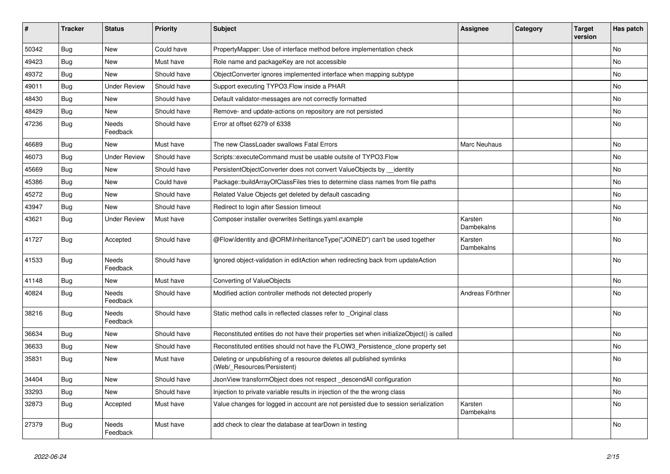| #     | <b>Tracker</b> | <b>Status</b>            | <b>Priority</b> | <b>Subject</b>                                                                                       | <b>Assignee</b>       | Category | <b>Target</b><br>version | Has patch |
|-------|----------------|--------------------------|-----------------|------------------------------------------------------------------------------------------------------|-----------------------|----------|--------------------------|-----------|
| 50342 | Bug            | <b>New</b>               | Could have      | PropertyMapper: Use of interface method before implementation check                                  |                       |          |                          | <b>No</b> |
| 49423 | Bug            | <b>New</b>               | Must have       | Role name and packageKey are not accessible                                                          |                       |          |                          | No        |
| 49372 | <b>Bug</b>     | New                      | Should have     | ObjectConverter ignores implemented interface when mapping subtype                                   |                       |          |                          | No        |
| 49011 | <b>Bug</b>     | <b>Under Review</b>      | Should have     | Support executing TYPO3. Flow inside a PHAR                                                          |                       |          |                          | No        |
| 48430 | Bug            | <b>New</b>               | Should have     | Default validator-messages are not correctly formatted                                               |                       |          |                          | No        |
| 48429 | Bug            | New                      | Should have     | Remove- and update-actions on repository are not persisted                                           |                       |          |                          | No        |
| 47236 | <b>Bug</b>     | Needs<br>Feedback        | Should have     | Error at offset 6279 of 6338                                                                         |                       |          |                          | No        |
| 46689 | Bug            | <b>New</b>               | Must have       | The new ClassLoader swallows Fatal Errors                                                            | <b>Marc Neuhaus</b>   |          |                          | No        |
| 46073 | <b>Bug</b>     | <b>Under Review</b>      | Should have     | Scripts::executeCommand must be usable outsite of TYPO3.Flow                                         |                       |          |                          | No        |
| 45669 | Bug            | <b>New</b>               | Should have     | PersistentObjectConverter does not convert ValueObjects by identity                                  |                       |          |                          | No        |
| 45386 | Bug            | <b>New</b>               | Could have      | Package::buildArrayOfClassFiles tries to determine class names from file paths                       |                       |          |                          | <b>No</b> |
| 45272 | Bug            | New                      | Should have     | Related Value Objects get deleted by default cascading                                               |                       |          |                          | No        |
| 43947 | Bug            | <b>New</b>               | Should have     | Redirect to login after Session timeout                                                              |                       |          |                          | No        |
| 43621 | Bug            | <b>Under Review</b>      | Must have       | Composer installer overwrites Settings.yaml.example                                                  | Karsten<br>Dambekalns |          |                          | No        |
| 41727 | Bug            | Accepted                 | Should have     | @Flow\Identity and @ORM\InheritanceType("JOINED") can't be used together                             | Karsten<br>Dambekalns |          |                          | No        |
| 41533 | <b>Bug</b>     | Needs<br>Feedback        | Should have     | Ignored object-validation in editAction when redirecting back from updateAction                      |                       |          |                          | No        |
| 41148 | <b>Bug</b>     | <b>New</b>               | Must have       | Converting of ValueObjects                                                                           |                       |          |                          | No        |
| 40824 | <b>Bug</b>     | <b>Needs</b><br>Feedback | Should have     | Modified action controller methods not detected properly                                             | Andreas Förthner      |          |                          | No        |
| 38216 | Bug            | Needs<br>Feedback        | Should have     | Static method calls in reflected classes refer to _Original class                                    |                       |          |                          | No        |
| 36634 | <b>Bug</b>     | New                      | Should have     | Reconstituted entities do not have their properties set when initializeObject() is called            |                       |          |                          | No        |
| 36633 | Bug            | <b>New</b>               | Should have     | Reconstituted entities should not have the FLOW3 Persistence clone property set                      |                       |          |                          | No        |
| 35831 | Bug            | <b>New</b>               | Must have       | Deleting or unpublishing of a resource deletes all published symlinks<br>(Web/ Resources/Persistent) |                       |          |                          | No        |
| 34404 | <b>Bug</b>     | <b>New</b>               | Should have     | JsonView transformObject does not respect _descendAll configuration                                  |                       |          |                          | No        |
| 33293 | <b>Bug</b>     | <b>New</b>               | Should have     | Injection to private variable results in injection of the the wrong class                            |                       |          |                          | No        |
| 32873 | Bug            | Accepted                 | Must have       | Value changes for logged in account are not persisted due to session serialization                   | Karsten<br>Dambekalns |          |                          | No        |
| 27379 | Bug            | Needs<br>Feedback        | Must have       | add check to clear the database at tearDown in testing                                               |                       |          |                          | <b>No</b> |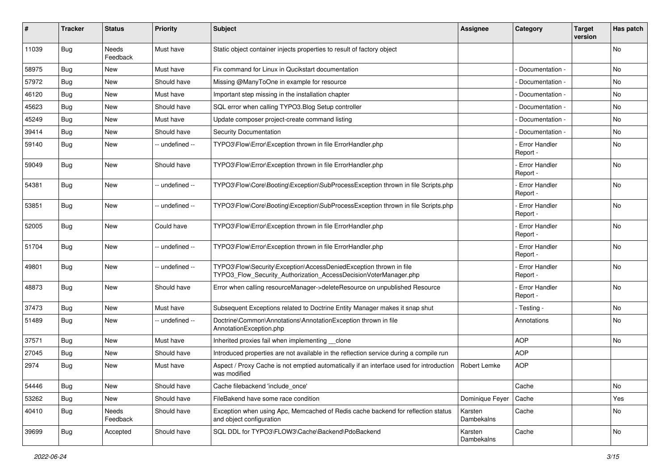| #     | <b>Tracker</b> | <b>Status</b>     | <b>Priority</b> | <b>Subject</b>                                                                                                                         | <b>Assignee</b>       | Category                         | <b>Target</b><br>version | Has patch |
|-------|----------------|-------------------|-----------------|----------------------------------------------------------------------------------------------------------------------------------------|-----------------------|----------------------------------|--------------------------|-----------|
| 11039 | Bug            | Needs<br>Feedback | Must have       | Static object container injects properties to result of factory object                                                                 |                       |                                  |                          | No        |
| 58975 | <b>Bug</b>     | New               | Must have       | Fix command for Linux in Qucikstart documentation                                                                                      |                       | Documentation -                  |                          | No        |
| 57972 | <b>Bug</b>     | <b>New</b>        | Should have     | Missing @ManyToOne in example for resource                                                                                             |                       | Documentation -                  |                          | No        |
| 46120 | Bug            | New               | Must have       | Important step missing in the installation chapter                                                                                     |                       | Documentation -                  |                          | No        |
| 45623 | Bug            | <b>New</b>        | Should have     | SQL error when calling TYPO3. Blog Setup controller                                                                                    |                       | Documentation -                  |                          | <b>No</b> |
| 45249 | Bug            | New               | Must have       | Update composer project-create command listing                                                                                         |                       | Documentation -                  |                          | No        |
| 39414 | Bug            | New               | Should have     | <b>Security Documentation</b>                                                                                                          |                       | Documentation -                  |                          | <b>No</b> |
| 59140 | Bug            | New               | -- undefined -- | TYPO3\Flow\Error\Exception thrown in file ErrorHandler.php                                                                             |                       | <b>Error Handler</b><br>Report - |                          | No        |
| 59049 | Bug            | <b>New</b>        | Should have     | TYPO3\Flow\Error\Exception thrown in file ErrorHandler.php                                                                             |                       | - Error Handler<br>Report -      |                          | No        |
| 54381 | Bug            | New               | -- undefined -- | TYPO3\Flow\Core\Booting\Exception\SubProcessException thrown in file Scripts.php                                                       |                       | Error Handler<br>Report -        |                          | No        |
| 53851 | <b>Bug</b>     | New               | -- undefined -- | TYPO3\Flow\Core\Booting\Exception\SubProcessException thrown in file Scripts.php                                                       |                       | - Error Handler<br>Report -      |                          | No        |
| 52005 | <b>Bug</b>     | New               | Could have      | TYPO3\Flow\Error\Exception thrown in file ErrorHandler.php                                                                             |                       | Error Handler<br>Report -        |                          | <b>No</b> |
| 51704 | Bug            | <b>New</b>        | -- undefined -- | TYPO3\Flow\Error\Exception thrown in file ErrorHandler.php                                                                             |                       | - Error Handler<br>Report -      |                          | <b>No</b> |
| 49801 | Bug            | New               | -- undefined -- | TYPO3\Flow\Security\Exception\AccessDeniedException thrown in file<br>TYPO3_Flow_Security_Authorization_AccessDecisionVoterManager.php |                       | - Error Handler<br>Report -      |                          | No        |
| 48873 | Bug            | <b>New</b>        | Should have     | Error when calling resourceManager->deleteResource on unpublished Resource                                                             |                       | <b>Error Handler</b><br>Report - |                          | No        |
| 37473 | Bug            | New               | Must have       | Subsequent Exceptions related to Doctrine Entity Manager makes it snap shut                                                            |                       | - Testing -                      |                          | No        |
| 51489 | Bug            | New               | -- undefined -- | Doctrine\Common\Annotations\AnnotationException thrown in file<br>AnnotationException.php                                              |                       | Annotations                      |                          | No        |
| 37571 | <b>Bug</b>     | <b>New</b>        | Must have       | Inherited proxies fail when implementing __clone                                                                                       |                       | <b>AOP</b>                       |                          | <b>No</b> |
| 27045 | Bug            | New               | Should have     | Introduced properties are not available in the reflection service during a compile run                                                 |                       | <b>AOP</b>                       |                          |           |
| 2974  | <b>Bug</b>     | New               | Must have       | Aspect / Proxy Cache is not emptied automatically if an interface used for introduction<br>was modified                                | Robert Lemke          | <b>AOP</b>                       |                          |           |
| 54446 | Bug            | New               | Should have     | Cache filebackend 'include once'                                                                                                       |                       | Cache                            |                          | No        |
| 53262 | Bug            | New               | Should have     | FileBakend have some race condition                                                                                                    | Dominique Feyer       | Cache                            |                          | Yes       |
| 40410 | Bug            | Needs<br>Feedback | Should have     | Exception when using Apc, Memcached of Redis cache backend for reflection status<br>and object configuration                           | Karsten<br>Dambekalns | Cache                            |                          | No        |
| 39699 | Bug            | Accepted          | Should have     | SQL DDL for TYPO3\FLOW3\Cache\Backend\PdoBackend                                                                                       | Karsten<br>Dambekalns | Cache                            |                          | No        |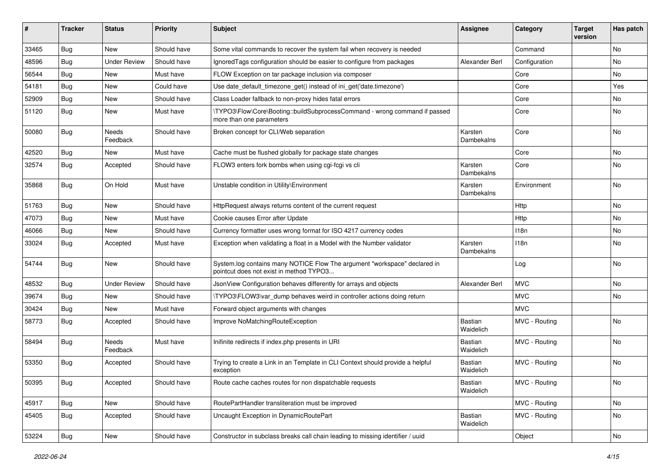| #     | <b>Tracker</b> | <b>Status</b>            | <b>Priority</b> | Subject                                                                                                              | <b>Assignee</b>       | Category      | <b>Target</b><br>version | Has patch |
|-------|----------------|--------------------------|-----------------|----------------------------------------------------------------------------------------------------------------------|-----------------------|---------------|--------------------------|-----------|
| 33465 | Bug            | New                      | Should have     | Some vital commands to recover the system fail when recovery is needed                                               |                       | Command       |                          | <b>No</b> |
| 48596 | <b>Bug</b>     | <b>Under Review</b>      | Should have     | Ignored Tags configuration should be easier to configure from packages                                               | Alexander Berl        | Configuration |                          | No.       |
| 56544 | <b>Bug</b>     | New                      | Must have       | FLOW Exception on tar package inclusion via composer                                                                 |                       | Core          |                          | No        |
| 54181 | <b>Bug</b>     | New                      | Could have      | Use date_default_timezone_get() instead of ini_get('date.timezone')                                                  |                       | Core          |                          | Yes       |
| 52909 | <b>Bug</b>     | New                      | Should have     | Class Loader fallback to non-proxy hides fatal errors                                                                |                       | Core          |                          | No        |
| 51120 | <b>Bug</b>     | New                      | Must have       | \TYPO3\Flow\Core\Booting::buildSubprocessCommand - wrong command if passed<br>more than one parameters               |                       | Core          |                          | <b>No</b> |
| 50080 | <b>Bug</b>     | Needs<br>Feedback        | Should have     | Broken concept for CLI/Web separation                                                                                | Karsten<br>Dambekalns | Core          |                          | <b>No</b> |
| 42520 | <b>Bug</b>     | New                      | Must have       | Cache must be flushed globally for package state changes                                                             |                       | Core          |                          | No        |
| 32574 | <b>Bug</b>     | Accepted                 | Should have     | FLOW3 enters fork bombs when using cgi-fcgi vs cli                                                                   | Karsten<br>Dambekalns | Core          |                          | No        |
| 35868 | Bug            | On Hold                  | Must have       | Unstable condition in Utility\Environment                                                                            | Karsten<br>Dambekalns | Environment   |                          | <b>No</b> |
| 51763 | <b>Bug</b>     | <b>New</b>               | Should have     | HttpRequest always returns content of the current request                                                            |                       | Http          |                          | No        |
| 47073 | <b>Bug</b>     | New                      | Must have       | Cookie causes Error after Update                                                                                     |                       | Http          |                          | No        |
| 46066 | <b>Bug</b>     | New                      | Should have     | Currency formatter uses wrong format for ISO 4217 currency codes                                                     |                       | 118n          |                          | <b>No</b> |
| 33024 | <b>Bug</b>     | Accepted                 | Must have       | Exception when validating a float in a Model with the Number validator                                               | Karsten<br>Dambekalns | 118n          |                          | No        |
| 54744 | Bug            | <b>New</b>               | Should have     | System.log contains many NOTICE Flow The argument "workspace" declared in<br>pointcut does not exist in method TYPO3 |                       | Log           |                          | <b>No</b> |
| 48532 | <b>Bug</b>     | <b>Under Review</b>      | Should have     | JsonView Configuration behaves differently for arrays and objects                                                    | Alexander Berl        | <b>MVC</b>    |                          | No        |
| 39674 | <b>Bug</b>     | <b>New</b>               | Should have     | \TYPO3\FLOW3\var_dump behaves weird in controller actions doing return                                               |                       | <b>MVC</b>    |                          | No        |
| 30424 | <b>Bug</b>     | New                      | Must have       | Forward object arguments with changes                                                                                |                       | <b>MVC</b>    |                          |           |
| 58773 | <b>Bug</b>     | Accepted                 | Should have     | Improve NoMatchingRouteException                                                                                     | Bastian<br>Waidelich  | MVC - Routing |                          | <b>No</b> |
| 58494 | <b>Bug</b>     | <b>Needs</b><br>Feedback | Must have       | Inifinite redirects if index.php presents in URI                                                                     | Bastian<br>Waidelich  | MVC - Routing |                          | <b>No</b> |
| 53350 | <b>Bug</b>     | Accepted                 | Should have     | Trying to create a Link in an Template in CLI Context should provide a helpful<br>exception                          | Bastian<br>Waidelich  | MVC - Routing |                          | <b>No</b> |
| 50395 | Bug            | Accepted                 | Should have     | Route cache caches routes for non dispatchable requests                                                              | Bastian<br>Waidelich  | MVC - Routing |                          | No        |
| 45917 | Bug            | New                      | Should have     | RoutePartHandler transliteration must be improved                                                                    |                       | MVC - Routing |                          | No        |
| 45405 | Bug            | Accepted                 | Should have     | Uncaught Exception in DynamicRoutePart                                                                               | Bastian<br>Waidelich  | MVC - Routing |                          | No        |
| 53224 | Bug            | New                      | Should have     | Constructor in subclass breaks call chain leading to missing identifier / uuid                                       |                       | Object        |                          | No        |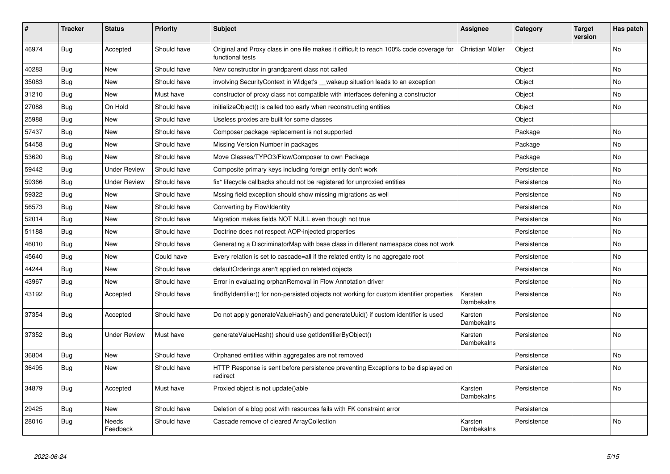| #     | <b>Tracker</b> | <b>Status</b>            | <b>Priority</b> | <b>Subject</b>                                                                                              | <b>Assignee</b>       | Category    | <b>Target</b><br>version | Has patch      |
|-------|----------------|--------------------------|-----------------|-------------------------------------------------------------------------------------------------------------|-----------------------|-------------|--------------------------|----------------|
| 46974 | <b>Bug</b>     | Accepted                 | Should have     | Original and Proxy class in one file makes it difficult to reach 100% code coverage for<br>functional tests | Christian Müller      | Object      |                          | N <sub>o</sub> |
| 40283 | <b>Bug</b>     | <b>New</b>               | Should have     | New constructor in grandparent class not called                                                             |                       | Object      |                          | No             |
| 35083 | <b>Bug</b>     | <b>New</b>               | Should have     | involving SecurityContext in Widget's __ wakeup situation leads to an exception                             |                       | Object      |                          | No.            |
| 31210 | <b>Bug</b>     | New                      | Must have       | constructor of proxy class not compatible with interfaces defening a constructor                            |                       | Object      |                          | No             |
| 27088 | <b>Bug</b>     | On Hold                  | Should have     | initializeObject() is called too early when reconstructing entities                                         |                       | Object      |                          | No             |
| 25988 | <b>Bug</b>     | New                      | Should have     | Useless proxies are built for some classes                                                                  |                       | Object      |                          |                |
| 57437 | Bug            | New                      | Should have     | Composer package replacement is not supported                                                               |                       | Package     |                          | No.            |
| 54458 | <b>Bug</b>     | <b>New</b>               | Should have     | Missing Version Number in packages                                                                          |                       | Package     |                          | No             |
| 53620 | <b>Bug</b>     | <b>New</b>               | Should have     | Move Classes/TYPO3/Flow/Composer to own Package                                                             |                       | Package     |                          | No             |
| 59442 | Bug            | <b>Under Review</b>      | Should have     | Composite primary keys including foreign entity don't work                                                  |                       | Persistence |                          | No             |
| 59366 | Bug            | <b>Under Review</b>      | Should have     | fix* lifecycle callbacks should not be registered for unproxied entities                                    |                       | Persistence |                          | No             |
| 59322 | Bug            | New                      | Should have     | Mssing field exception should show missing migrations as well                                               |                       | Persistence |                          | No.            |
| 56573 | Bug            | <b>New</b>               | Should have     | Converting by Flow\Identity                                                                                 |                       | Persistence |                          | No             |
| 52014 | <b>Bug</b>     | <b>New</b>               | Should have     | Migration makes fields NOT NULL even though not true                                                        |                       | Persistence |                          | No             |
| 51188 | Bug            | New                      | Should have     | Doctrine does not respect AOP-injected properties                                                           |                       | Persistence |                          | No.            |
| 46010 | Bug            | New                      | Should have     | Generating a DiscriminatorMap with base class in different namespace does not work                          |                       | Persistence |                          | No             |
| 45640 | <b>Bug</b>     | <b>New</b>               | Could have      | Every relation is set to cascade=all if the related entity is no aggregate root                             |                       | Persistence |                          | No             |
| 44244 | <b>Bug</b>     | <b>New</b>               | Should have     | defaultOrderings aren't applied on related objects                                                          |                       | Persistence |                          | <b>No</b>      |
| 43967 | Bug            | New                      | Should have     | Error in evaluating orphanRemoval in Flow Annotation driver                                                 |                       | Persistence |                          | No             |
| 43192 | <b>Bug</b>     | Accepted                 | Should have     | findByIdentifier() for non-persisted objects not working for custom identifier properties                   | Karsten<br>Dambekalns | Persistence |                          | No             |
| 37354 | Bug            | Accepted                 | Should have     | Do not apply generateValueHash() and generateUuid() if custom identifier is used                            | Karsten<br>Dambekalns | Persistence |                          | <b>No</b>      |
| 37352 | <b>Bug</b>     | <b>Under Review</b>      | Must have       | generateValueHash() should use getIdentifierByObject()                                                      | Karsten<br>Dambekalns | Persistence |                          | No             |
| 36804 | <b>Bug</b>     | <b>New</b>               | Should have     | Orphaned entities within aggregates are not removed                                                         |                       | Persistence |                          | No.            |
| 36495 | <b>Bug</b>     | New                      | Should have     | HTTP Response is sent before persistence preventing Exceptions to be displayed on<br>redirect               |                       | Persistence |                          | No.            |
| 34879 | <b>Bug</b>     | Accepted                 | Must have       | Proxied object is not update()able                                                                          | Karsten<br>Dambekalns | Persistence |                          | <b>No</b>      |
| 29425 | <b>Bug</b>     | <b>New</b>               | Should have     | Deletion of a blog post with resources fails with FK constraint error                                       |                       | Persistence |                          |                |
| 28016 | Bug            | <b>Needs</b><br>Feedback | Should have     | Cascade remove of cleared ArrayCollection                                                                   | Karsten<br>Dambekalns | Persistence |                          | <b>No</b>      |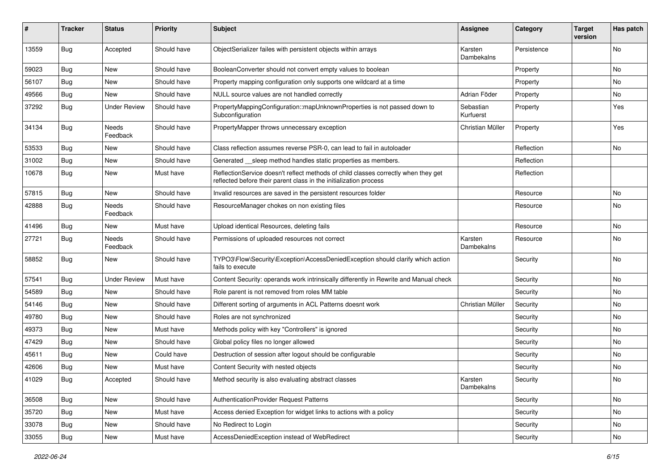| #     | Tracker    | <b>Status</b>       | <b>Priority</b> | <b>Subject</b>                                                                                                                                          | <b>Assignee</b>        | Category    | <b>Target</b><br>version | Has patch |
|-------|------------|---------------------|-----------------|---------------------------------------------------------------------------------------------------------------------------------------------------------|------------------------|-------------|--------------------------|-----------|
| 13559 | Bug        | Accepted            | Should have     | ObjectSerializer failes with persistent objects within arrays                                                                                           | Karsten<br>Dambekalns  | Persistence |                          | No        |
| 59023 | Bug        | New                 | Should have     | BooleanConverter should not convert empty values to boolean                                                                                             |                        | Property    |                          | No        |
| 56107 | Bug        | <b>New</b>          | Should have     | Property mapping configuration only supports one wildcard at a time                                                                                     |                        | Property    |                          | No        |
| 49566 | Bug        | New                 | Should have     | NULL source values are not handled correctly                                                                                                            | Adrian Föder           | Property    |                          | No        |
| 37292 | Bug        | <b>Under Review</b> | Should have     | PropertyMappingConfiguration::mapUnknownProperties is not passed down to<br>Subconfiguration                                                            | Sebastian<br>Kurfuerst | Property    |                          | Yes       |
| 34134 | Bug        | Needs<br>Feedback   | Should have     | PropertyMapper throws unnecessary exception                                                                                                             | Christian Müller       | Property    |                          | Yes       |
| 53533 | Bug        | New                 | Should have     | Class reflection assumes reverse PSR-0, can lead to fail in autoloader                                                                                  |                        | Reflection  |                          | No.       |
| 31002 | Bug        | New                 | Should have     | Generated __sleep method handles static properties as members.                                                                                          |                        | Reflection  |                          |           |
| 10678 | Bug        | New                 | Must have       | ReflectionService doesn't reflect methods of child classes correctly when they get<br>reflected before their parent class in the initialization process |                        | Reflection  |                          |           |
| 57815 | <b>Bug</b> | New                 | Should have     | Invalid resources are saved in the persistent resources folder                                                                                          |                        | Resource    |                          | No.       |
| 42888 | <b>Bug</b> | Needs<br>Feedback   | Should have     | ResourceManager chokes on non existing files                                                                                                            |                        | Resource    |                          | No        |
| 41496 | <b>Bug</b> | New                 | Must have       | Upload identical Resources, deleting fails                                                                                                              |                        | Resource    |                          | No.       |
| 27721 | <b>Bug</b> | Needs<br>Feedback   | Should have     | Permissions of uploaded resources not correct                                                                                                           | Karsten<br>Dambekalns  | Resource    |                          | No        |
| 58852 | <b>Bug</b> | New                 | Should have     | TYPO3\Flow\Security\Exception\AccessDeniedException should clarify which action<br>fails to execute                                                     |                        | Security    |                          | No        |
| 57541 | Bug        | <b>Under Review</b> | Must have       | Content Security: operands work intrinsically differently in Rewrite and Manual check                                                                   |                        | Security    |                          | No        |
| 54589 | <b>Bug</b> | <b>New</b>          | Should have     | Role parent is not removed from roles MM table                                                                                                          |                        | Security    |                          | No        |
| 54146 | Bug        | New                 | Should have     | Different sorting of arguments in ACL Patterns doesnt work                                                                                              | Christian Müller       | Security    |                          | No        |
| 49780 | Bug        | New                 | Should have     | Roles are not synchronized                                                                                                                              |                        | Security    |                          | No.       |
| 49373 | Bug        | New                 | Must have       | Methods policy with key "Controllers" is ignored                                                                                                        |                        | Security    |                          | No        |
| 47429 | Bug        | New                 | Should have     | Global policy files no longer allowed                                                                                                                   |                        | Security    |                          | No        |
| 45611 | Bug        | New                 | Could have      | Destruction of session after logout should be configurable                                                                                              |                        | Security    |                          | No        |
| 42606 | Bug        | New                 | Must have       | Content Security with nested objects                                                                                                                    |                        | Security    |                          | No        |
| 41029 | <b>Bug</b> | Accepted            | Should have     | Method security is also evaluating abstract classes                                                                                                     | Karsten<br>Dambekalns  | Security    |                          | No        |
| 36508 | Bug        | New                 | Should have     | AuthenticationProvider Request Patterns                                                                                                                 |                        | Security    |                          | No        |
| 35720 | Bug        | New                 | Must have       | Access denied Exception for widget links to actions with a policy                                                                                       |                        | Security    |                          | No        |
| 33078 | <b>Bug</b> | New                 | Should have     | No Redirect to Login                                                                                                                                    |                        | Security    |                          | No        |
| 33055 | Bug        | New                 | Must have       | AccessDeniedException instead of WebRedirect                                                                                                            |                        | Security    |                          | No        |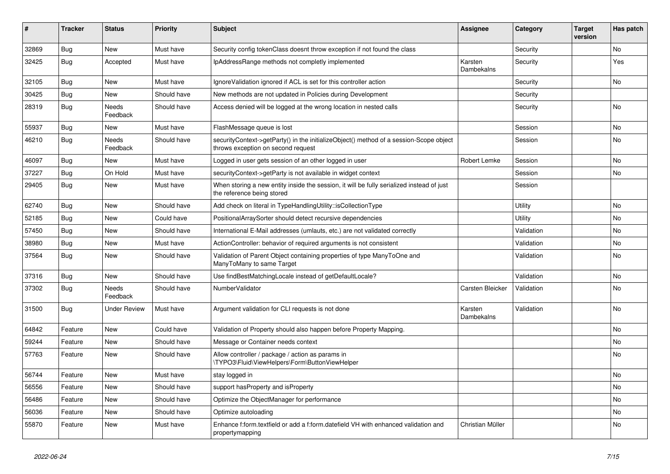| ∦     | <b>Tracker</b> | <b>Status</b>            | <b>Priority</b> | <b>Subject</b>                                                                                                               | <b>Assignee</b>       | Category   | <b>Target</b><br>version | Has patch |
|-------|----------------|--------------------------|-----------------|------------------------------------------------------------------------------------------------------------------------------|-----------------------|------------|--------------------------|-----------|
| 32869 | Bug            | <b>New</b>               | Must have       | Security config tokenClass doesnt throw exception if not found the class                                                     |                       | Security   |                          | <b>No</b> |
| 32425 | Bug            | Accepted                 | Must have       | IpAddressRange methods not completly implemented                                                                             | Karsten<br>Dambekalns | Security   |                          | Yes       |
| 32105 | Bug            | <b>New</b>               | Must have       | IgnoreValidation ignored if ACL is set for this controller action                                                            |                       | Security   |                          | <b>No</b> |
| 30425 | Bug            | New                      | Should have     | New methods are not updated in Policies during Development                                                                   |                       | Security   |                          |           |
| 28319 | <b>Bug</b>     | <b>Needs</b><br>Feedback | Should have     | Access denied will be logged at the wrong location in nested calls                                                           |                       | Security   |                          | No        |
| 55937 | Bug            | <b>New</b>               | Must have       | FlashMessage queue is lost                                                                                                   |                       | Session    |                          | No        |
| 46210 | <b>Bug</b>     | Needs<br>Feedback        | Should have     | securityContext->getParty() in the initializeObject() method of a session-Scope object<br>throws exception on second request |                       | Session    |                          | No        |
| 46097 | Bug            | <b>New</b>               | Must have       | Logged in user gets session of an other logged in user                                                                       | Robert Lemke          | Session    |                          | <b>No</b> |
| 37227 | Bug            | On Hold                  | Must have       | securityContext->getParty is not available in widget context                                                                 |                       | Session    |                          | No        |
| 29405 | Bug            | <b>New</b>               | Must have       | When storing a new entity inside the session, it will be fully serialized instead of just<br>the reference being stored      |                       | Session    |                          |           |
| 62740 | Bug            | <b>New</b>               | Should have     | Add check on literal in TypeHandlingUtility::isCollectionType                                                                |                       | Utility    |                          | <b>No</b> |
| 52185 | <b>Bug</b>     | <b>New</b>               | Could have      | PositionalArraySorter should detect recursive dependencies                                                                   |                       | Utility    |                          | No        |
| 57450 | <b>Bug</b>     | <b>New</b>               | Should have     | International E-Mail addresses (umlauts, etc.) are not validated correctly                                                   |                       | Validation |                          | <b>No</b> |
| 38980 | <b>Bug</b>     | <b>New</b>               | Must have       | ActionController: behavior of required arguments is not consistent                                                           |                       | Validation |                          | No        |
| 37564 | Bug            | <b>New</b>               | Should have     | Validation of Parent Object containing properties of type ManyToOne and<br>ManyToMany to same Target                         |                       | Validation |                          | <b>No</b> |
| 37316 | <b>Bug</b>     | <b>New</b>               | Should have     | Use findBestMatchingLocale instead of getDefaultLocale?                                                                      |                       | Validation |                          | No        |
| 37302 | <b>Bug</b>     | Needs<br>Feedback        | Should have     | NumberValidator                                                                                                              | Carsten Bleicker      | Validation |                          | No        |
| 31500 | <b>Bug</b>     | <b>Under Review</b>      | Must have       | Argument validation for CLI requests is not done                                                                             | Karsten<br>Dambekalns | Validation |                          | <b>No</b> |
| 64842 | Feature        | <b>New</b>               | Could have      | Validation of Property should also happen before Property Mapping.                                                           |                       |            |                          | No        |
| 59244 | Feature        | <b>New</b>               | Should have     | Message or Container needs context                                                                                           |                       |            |                          | No        |
| 57763 | Feature        | <b>New</b>               | Should have     | Allow controller / package / action as params in<br>\TYPO3\Fluid\ViewHelpers\Form\ButtonViewHelper                           |                       |            |                          | No        |
| 56744 | Feature        | <b>New</b>               | Must have       | stay logged in                                                                                                               |                       |            |                          | No        |
| 56556 | Feature        | <b>New</b>               | Should have     | support has Property and is Property                                                                                         |                       |            |                          | No        |
| 56486 | Feature        | <b>New</b>               | Should have     | Optimize the ObjectManager for performance                                                                                   |                       |            |                          | <b>No</b> |
| 56036 | Feature        | <b>New</b>               | Should have     | Optimize autoloading                                                                                                         |                       |            |                          | <b>No</b> |
| 55870 | Feature        | <b>New</b>               | Must have       | Enhance f:form.textfield or add a f:form.datefield VH with enhanced validation and<br>propertymapping                        | Christian Müller      |            |                          | <b>No</b> |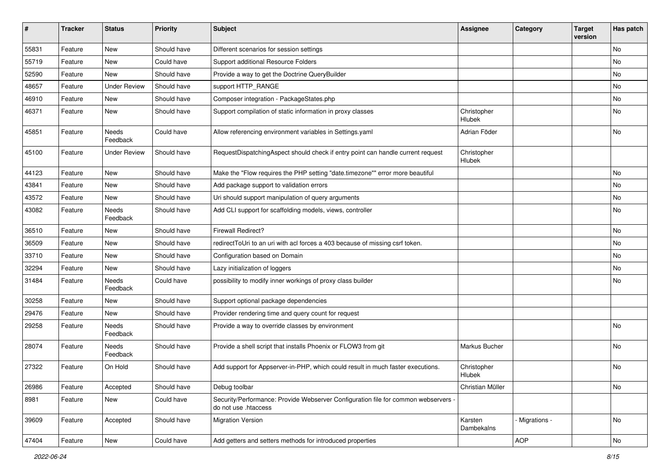| #     | <b>Tracker</b> | <b>Status</b>       | <b>Priority</b> | <b>Subject</b>                                                                                             | <b>Assignee</b>       | Category       | <b>Target</b><br>version | Has patch |
|-------|----------------|---------------------|-----------------|------------------------------------------------------------------------------------------------------------|-----------------------|----------------|--------------------------|-----------|
| 55831 | Feature        | New                 | Should have     | Different scenarios for session settings                                                                   |                       |                |                          | No        |
| 55719 | Feature        | New                 | Could have      | Support additional Resource Folders                                                                        |                       |                |                          | No        |
| 52590 | Feature        | New                 | Should have     | Provide a way to get the Doctrine QueryBuilder                                                             |                       |                |                          | No        |
| 48657 | Feature        | <b>Under Review</b> | Should have     | support HTTP_RANGE                                                                                         |                       |                |                          | No        |
| 46910 | Feature        | New                 | Should have     | Composer integration - PackageStates.php                                                                   |                       |                |                          | No        |
| 46371 | Feature        | New                 | Should have     | Support compilation of static information in proxy classes                                                 | Christopher<br>Hlubek |                |                          | No        |
| 45851 | Feature        | Needs<br>Feedback   | Could have      | Allow referencing environment variables in Settings.yaml                                                   | Adrian Föder          |                |                          | <b>No</b> |
| 45100 | Feature        | <b>Under Review</b> | Should have     | RequestDispatchingAspect should check if entry point can handle current request                            | Christopher<br>Hlubek |                |                          |           |
| 44123 | Feature        | <b>New</b>          | Should have     | Make the "Flow requires the PHP setting "date.timezone"" error more beautiful                              |                       |                |                          | No        |
| 43841 | Feature        | New                 | Should have     | Add package support to validation errors                                                                   |                       |                |                          | No        |
| 43572 | Feature        | New                 | Should have     | Uri should support manipulation of query arguments                                                         |                       |                |                          | No        |
| 43082 | Feature        | Needs<br>Feedback   | Should have     | Add CLI support for scaffolding models, views, controller                                                  |                       |                |                          | No        |
| 36510 | Feature        | New                 | Should have     | Firewall Redirect?                                                                                         |                       |                |                          | No        |
| 36509 | Feature        | New                 | Should have     | redirectToUri to an uri with acl forces a 403 because of missing csrf token.                               |                       |                |                          | No        |
| 33710 | Feature        | New                 | Should have     | Configuration based on Domain                                                                              |                       |                |                          | No        |
| 32294 | Feature        | New                 | Should have     | Lazy initialization of loggers                                                                             |                       |                |                          | No        |
| 31484 | Feature        | Needs<br>Feedback   | Could have      | possibility to modify inner workings of proxy class builder                                                |                       |                |                          | No        |
| 30258 | Feature        | New                 | Should have     | Support optional package dependencies                                                                      |                       |                |                          |           |
| 29476 | Feature        | New                 | Should have     | Provider rendering time and query count for request                                                        |                       |                |                          |           |
| 29258 | Feature        | Needs<br>Feedback   | Should have     | Provide a way to override classes by environment                                                           |                       |                |                          | No        |
| 28074 | Feature        | Needs<br>Feedback   | Should have     | Provide a shell script that installs Phoenix or FLOW3 from git                                             | Markus Bucher         |                |                          | No        |
| 27322 | Feature        | On Hold             | Should have     | Add support for Appserver-in-PHP, which could result in much faster executions.                            | Christopher<br>Hlubek |                |                          | No        |
| 26986 | Feature        | Accepted            | Should have     | Debug toolbar                                                                                              | Christian Müller      |                |                          | No        |
| 8981  | Feature        | New                 | Could have      | Security/Performance: Provide Webserver Configuration file for common webservers -<br>do not use .htaccess |                       |                |                          |           |
| 39609 | Feature        | Accepted            | Should have     | <b>Migration Version</b>                                                                                   | Karsten<br>Dambekalns | - Migrations - |                          | No        |
| 47404 | Feature        | New                 | Could have      | Add getters and setters methods for introduced properties                                                  |                       | <b>AOP</b>     |                          | No        |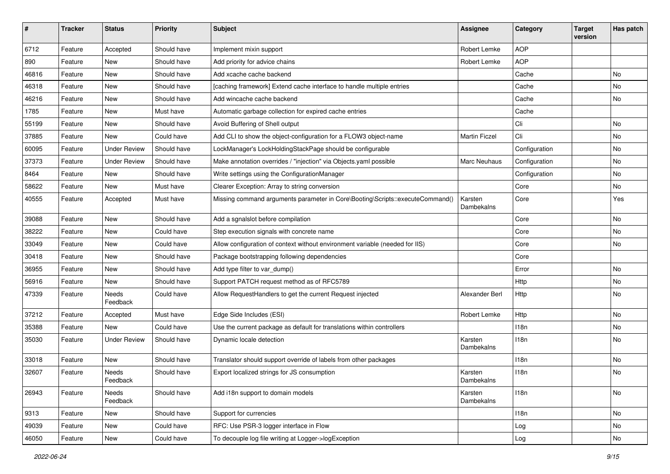| #     | <b>Tracker</b> | <b>Status</b>       | <b>Priority</b> | <b>Subject</b>                                                                | <b>Assignee</b>       | Category         | <b>Target</b><br>version | Has patch |
|-------|----------------|---------------------|-----------------|-------------------------------------------------------------------------------|-----------------------|------------------|--------------------------|-----------|
| 6712  | Feature        | Accepted            | Should have     | Implement mixin support                                                       | Robert Lemke          | <b>AOP</b>       |                          |           |
| 890   | Feature        | New                 | Should have     | Add priority for advice chains                                                | Robert Lemke          | <b>AOP</b>       |                          |           |
| 46816 | Feature        | New                 | Should have     | Add xcache cache backend                                                      |                       | Cache            |                          | No        |
| 46318 | Feature        | New                 | Should have     | [caching framework] Extend cache interface to handle multiple entries         |                       | Cache            |                          | No        |
| 46216 | Feature        | New                 | Should have     | Add wincache cache backend                                                    |                       | Cache            |                          | No        |
| 1785  | Feature        | New                 | Must have       | Automatic garbage collection for expired cache entries                        |                       | Cache            |                          |           |
| 55199 | Feature        | New                 | Should have     | Avoid Buffering of Shell output                                               |                       | Cli              |                          | No        |
| 37885 | Feature        | New                 | Could have      | Add CLI to show the object-configuration for a FLOW3 object-name              | <b>Martin Ficzel</b>  | Cli              |                          | No        |
| 60095 | Feature        | <b>Under Review</b> | Should have     | LockManager's LockHoldingStackPage should be configurable                     |                       | Configuration    |                          | No        |
| 37373 | Feature        | <b>Under Review</b> | Should have     | Make annotation overrides / "injection" via Objects.yaml possible             | Marc Neuhaus          | Configuration    |                          | No        |
| 8464  | Feature        | New                 | Should have     | Write settings using the ConfigurationManager                                 |                       | Configuration    |                          | No        |
| 58622 | Feature        | New                 | Must have       | Clearer Exception: Array to string conversion                                 |                       | Core             |                          | No        |
| 40555 | Feature        | Accepted            | Must have       | Missing command arguments parameter in Core\Booting\Scripts::executeCommand() | Karsten<br>Dambekalns | Core             |                          | Yes       |
| 39088 | Feature        | <b>New</b>          | Should have     | Add a sgnalslot before compilation                                            |                       | Core             |                          | No        |
| 38222 | Feature        | New                 | Could have      | Step execution signals with concrete name                                     |                       | Core             |                          | No        |
| 33049 | Feature        | New                 | Could have      | Allow configuration of context without environment variable (needed for IIS)  |                       | Core             |                          | No        |
| 30418 | Feature        | New                 | Should have     | Package bootstrapping following dependencies                                  |                       | Core             |                          |           |
| 36955 | Feature        | New                 | Should have     | Add type filter to var_dump()                                                 |                       | Error            |                          | <b>No</b> |
| 56916 | Feature        | New                 | Should have     | Support PATCH request method as of RFC5789                                    |                       | Http             |                          | No        |
| 47339 | Feature        | Needs<br>Feedback   | Could have      | Allow RequestHandlers to get the current Request injected                     | Alexander Berl        | Http             |                          | No        |
| 37212 | Feature        | Accepted            | Must have       | Edge Side Includes (ESI)                                                      | Robert Lemke          | Http             |                          | No        |
| 35388 | Feature        | New                 | Could have      | Use the current package as default for translations within controllers        |                       | 118n             |                          | No        |
| 35030 | Feature        | <b>Under Review</b> | Should have     | Dynamic locale detection                                                      | Karsten<br>Dambekalns | 118n             |                          | No        |
| 33018 | Feature        | New                 | Should have     | Translator should support override of labels from other packages              |                       | 118 <sub>n</sub> |                          | <b>No</b> |
| 32607 | Feature        | Needs<br>Feedback   | Should have     | Export localized strings for JS consumption                                   | Karsten<br>Dambekalns | 118n             |                          | No        |
| 26943 | Feature        | Needs<br>Feedback   | Should have     | Add i18n support to domain models                                             | Karsten<br>Dambekalns | 118n             |                          | No        |
| 9313  | Feature        | New                 | Should have     | Support for currencies                                                        |                       | 118n             |                          | No        |
| 49039 | Feature        | <b>New</b>          | Could have      | RFC: Use PSR-3 logger interface in Flow                                       |                       | Log              |                          | No        |
| 46050 | Feature        | New                 | Could have      | To decouple log file writing at Logger->logException                          |                       | Log              |                          | No        |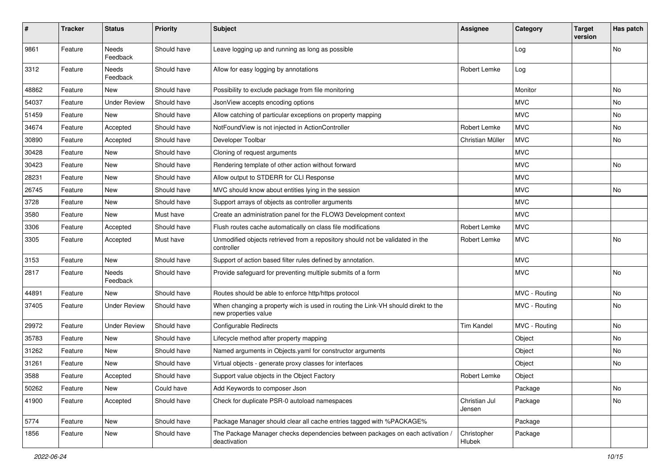| $\#$  | <b>Tracker</b> | <b>Status</b>            | <b>Priority</b> | <b>Subject</b>                                                                                            | <b>Assignee</b>         | Category      | <b>Target</b><br>version | Has patch |
|-------|----------------|--------------------------|-----------------|-----------------------------------------------------------------------------------------------------------|-------------------------|---------------|--------------------------|-----------|
| 9861  | Feature        | <b>Needs</b><br>Feedback | Should have     | Leave logging up and running as long as possible                                                          |                         | Log           |                          | No        |
| 3312  | Feature        | Needs<br>Feedback        | Should have     | Allow for easy logging by annotations                                                                     | Robert Lemke            | Log           |                          |           |
| 48862 | Feature        | New                      | Should have     | Possibility to exclude package from file monitoring                                                       |                         | Monitor       |                          | No        |
| 54037 | Feature        | <b>Under Review</b>      | Should have     | JsonView accepts encoding options                                                                         |                         | <b>MVC</b>    |                          | No.       |
| 51459 | Feature        | New                      | Should have     | Allow catching of particular exceptions on property mapping                                               |                         | <b>MVC</b>    |                          | No        |
| 34674 | Feature        | Accepted                 | Should have     | NotFoundView is not injected in ActionController                                                          | Robert Lemke            | <b>MVC</b>    |                          | No        |
| 30890 | Feature        | Accepted                 | Should have     | Developer Toolbar                                                                                         | Christian Müller        | <b>MVC</b>    |                          | No        |
| 30428 | Feature        | New                      | Should have     | Cloning of request arguments                                                                              |                         | <b>MVC</b>    |                          |           |
| 30423 | Feature        | New                      | Should have     | Rendering template of other action without forward                                                        |                         | <b>MVC</b>    |                          | No        |
| 28231 | Feature        | New                      | Should have     | Allow output to STDERR for CLI Response                                                                   |                         | <b>MVC</b>    |                          |           |
| 26745 | Feature        | New                      | Should have     | MVC should know about entities lying in the session                                                       |                         | <b>MVC</b>    |                          | No        |
| 3728  | Feature        | New                      | Should have     | Support arrays of objects as controller arguments                                                         |                         | <b>MVC</b>    |                          |           |
| 3580  | Feature        | New                      | Must have       | Create an administration panel for the FLOW3 Development context                                          |                         | <b>MVC</b>    |                          |           |
| 3306  | Feature        | Accepted                 | Should have     | Flush routes cache automatically on class file modifications                                              | Robert Lemke            | <b>MVC</b>    |                          |           |
| 3305  | Feature        | Accepted                 | Must have       | Unmodified objects retrieved from a repository should not be validated in the<br>controller               | Robert Lemke            | <b>MVC</b>    |                          | No        |
| 3153  | Feature        | New                      | Should have     | Support of action based filter rules defined by annotation.                                               |                         | <b>MVC</b>    |                          |           |
| 2817  | Feature        | Needs<br>Feedback        | Should have     | Provide safeguard for preventing multiple submits of a form                                               |                         | <b>MVC</b>    |                          | No        |
| 44891 | Feature        | <b>New</b>               | Should have     | Routes should be able to enforce http/https protocol                                                      |                         | MVC - Routing |                          | No        |
| 37405 | Feature        | <b>Under Review</b>      | Should have     | When changing a property wich is used in routing the Link-VH should direkt to the<br>new properties value |                         | MVC - Routing |                          | No        |
| 29972 | Feature        | <b>Under Review</b>      | Should have     | <b>Configurable Redirects</b>                                                                             | <b>Tim Kandel</b>       | MVC - Routing |                          | No        |
| 35783 | Feature        | New                      | Should have     | Lifecycle method after property mapping                                                                   |                         | Object        |                          | No        |
| 31262 | Feature        | New                      | Should have     | Named arguments in Objects.yaml for constructor arguments                                                 |                         | Object        |                          | No        |
| 31261 | Feature        | New                      | Should have     | Virtual objects - generate proxy classes for interfaces                                                   |                         | Object        |                          | No        |
| 3588  | Feature        | Accepted                 | Should have     | Support value objects in the Object Factory                                                               | Robert Lemke            | Object        |                          |           |
| 50262 | Feature        | <b>New</b>               | Could have      | Add Keywords to composer Json                                                                             |                         | Package       |                          | No        |
| 41900 | Feature        | Accepted                 | Should have     | Check for duplicate PSR-0 autoload namespaces                                                             | Christian Jul<br>Jensen | Package       |                          | No        |
| 5774  | Feature        | <b>New</b>               | Should have     | Package Manager should clear all cache entries tagged with %PACKAGE%                                      |                         | Package       |                          |           |
| 1856  | Feature        | New                      | Should have     | The Package Manager checks dependencies between packages on each activation /<br>deactivation             | Christopher<br>Hlubek   | Package       |                          |           |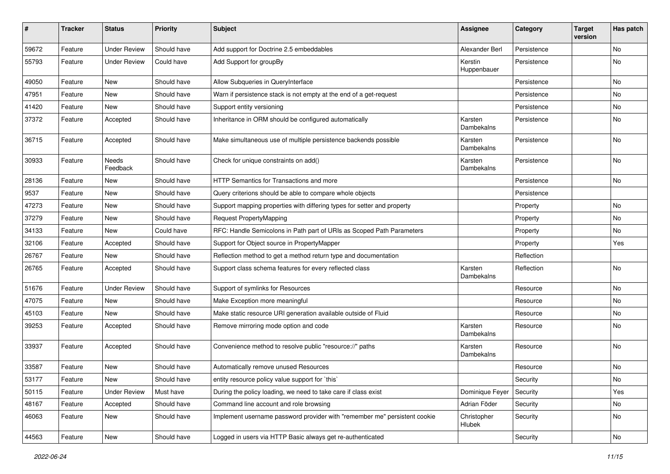| #     | <b>Tracker</b> | <b>Status</b>       | <b>Priority</b> | Subject                                                                   | <b>Assignee</b>        | Category    | <b>Target</b><br>version | Has patch |
|-------|----------------|---------------------|-----------------|---------------------------------------------------------------------------|------------------------|-------------|--------------------------|-----------|
| 59672 | Feature        | <b>Under Review</b> | Should have     | Add support for Doctrine 2.5 embeddables                                  | Alexander Berl         | Persistence |                          | No        |
| 55793 | Feature        | <b>Under Review</b> | Could have      | Add Support for groupBy                                                   | Kerstin<br>Huppenbauer | Persistence |                          | No        |
| 49050 | Feature        | <b>New</b>          | Should have     | Allow Subqueries in QueryInterface                                        |                        | Persistence |                          | No        |
| 47951 | Feature        | New                 | Should have     | Warn if persistence stack is not empty at the end of a get-request        |                        | Persistence |                          | No        |
| 41420 | Feature        | New                 | Should have     | Support entity versioning                                                 |                        | Persistence |                          | No        |
| 37372 | Feature        | Accepted            | Should have     | Inheritance in ORM should be configured automatically                     | Karsten<br>Dambekalns  | Persistence |                          | No        |
| 36715 | Feature        | Accepted            | Should have     | Make simultaneous use of multiple persistence backends possible           | Karsten<br>Dambekalns  | Persistence |                          | No        |
| 30933 | Feature        | Needs<br>Feedback   | Should have     | Check for unique constraints on add()                                     | Karsten<br>Dambekalns  | Persistence |                          | No        |
| 28136 | Feature        | New                 | Should have     | HTTP Semantics for Transactions and more                                  |                        | Persistence |                          | No        |
| 9537  | Feature        | New                 | Should have     | Query criterions should be able to compare whole objects                  |                        | Persistence |                          |           |
| 47273 | Feature        | New                 | Should have     | Support mapping properties with differing types for setter and property   |                        | Property    |                          | No        |
| 37279 | Feature        | New                 | Should have     | <b>Request PropertyMapping</b>                                            |                        | Property    |                          | No        |
| 34133 | Feature        | New                 | Could have      | RFC: Handle Semicolons in Path part of URIs as Scoped Path Parameters     |                        | Property    |                          | No        |
| 32106 | Feature        | Accepted            | Should have     | Support for Object source in PropertyMapper                               |                        | Property    |                          | Yes       |
| 26767 | Feature        | New                 | Should have     | Reflection method to get a method return type and documentation           |                        | Reflection  |                          |           |
| 26765 | Feature        | Accepted            | Should have     | Support class schema features for every reflected class                   | Karsten<br>Dambekalns  | Reflection  |                          | <b>No</b> |
| 51676 | Feature        | <b>Under Review</b> | Should have     | Support of symlinks for Resources                                         |                        | Resource    |                          | No        |
| 47075 | Feature        | New                 | Should have     | Make Exception more meaningful                                            |                        | Resource    |                          | No        |
| 45103 | Feature        | New                 | Should have     | Make static resource URI generation available outside of Fluid            |                        | Resource    |                          | No        |
| 39253 | Feature        | Accepted            | Should have     | Remove mirroring mode option and code                                     | Karsten<br>Dambekalns  | Resource    |                          | No        |
| 33937 | Feature        | Accepted            | Should have     | Convenience method to resolve public "resource://" paths                  | Karsten<br>Dambekalns  | Resource    |                          | No        |
| 33587 | Feature        | New                 | Should have     | Automatically remove unused Resources                                     |                        | Resource    |                          | No        |
| 53177 | Feature        | New                 | Should have     | entity resource policy value support for `this`                           |                        | Security    |                          | No        |
| 50115 | Feature        | <b>Under Review</b> | Must have       | During the policy loading, we need to take care if class exist            | Dominique Feyer        | Security    |                          | Yes       |
| 48167 | Feature        | Accepted            | Should have     | Command line account and role browsing                                    | Adrian Föder           | Security    |                          | No        |
| 46063 | Feature        | New                 | Should have     | Implement username password provider with "remember me" persistent cookie | Christopher<br>Hlubek  | Security    |                          | No        |
| 44563 | Feature        | New                 | Should have     | Logged in users via HTTP Basic always get re-authenticated                |                        | Security    |                          | No        |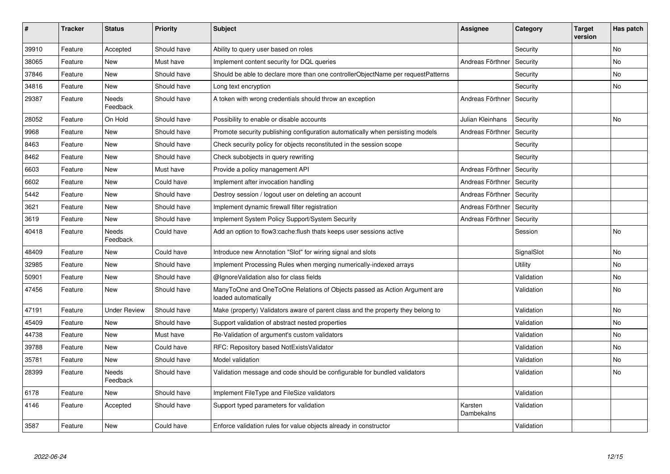| $\vert$ # | <b>Tracker</b> | <b>Status</b>            | <b>Priority</b> | <b>Subject</b>                                                                                    | Assignee              | Category   | <b>Target</b><br>version | Has patch |
|-----------|----------------|--------------------------|-----------------|---------------------------------------------------------------------------------------------------|-----------------------|------------|--------------------------|-----------|
| 39910     | Feature        | Accepted                 | Should have     | Ability to query user based on roles                                                              |                       | Security   |                          | <b>No</b> |
| 38065     | Feature        | New                      | Must have       | Implement content security for DQL queries                                                        | Andreas Förthner      | Security   |                          | No        |
| 37846     | Feature        | <b>New</b>               | Should have     | Should be able to declare more than one controllerObjectName per requestPatterns                  |                       | Security   |                          | No        |
| 34816     | Feature        | New                      | Should have     | Long text encryption                                                                              |                       | Security   |                          | No        |
| 29387     | Feature        | <b>Needs</b><br>Feedback | Should have     | A token with wrong credentials should throw an exception                                          | Andreas Förthner      | Security   |                          |           |
| 28052     | Feature        | On Hold                  | Should have     | Possibility to enable or disable accounts                                                         | Julian Kleinhans      | Security   |                          | <b>No</b> |
| 9968      | Feature        | <b>New</b>               | Should have     | Promote security publishing configuration automatically when persisting models                    | Andreas Förthner      | Security   |                          |           |
| 8463      | Feature        | New                      | Should have     | Check security policy for objects reconstituted in the session scope                              |                       | Security   |                          |           |
| 8462      | Feature        | <b>New</b>               | Should have     | Check subobjects in query rewriting                                                               |                       | Security   |                          |           |
| 6603      | Feature        | <b>New</b>               | Must have       | Provide a policy management API                                                                   | Andreas Förthner      | Security   |                          |           |
| 6602      | Feature        | New                      | Could have      | Implement after invocation handling                                                               | Andreas Förthner      | Security   |                          |           |
| 5442      | Feature        | <b>New</b>               | Should have     | Destroy session / logout user on deleting an account                                              | Andreas Förthner      | Security   |                          |           |
| 3621      | Feature        | New                      | Should have     | Implement dynamic firewall filter registration                                                    | Andreas Förthner      | Security   |                          |           |
| 3619      | Feature        | New                      | Should have     | Implement System Policy Support/System Security                                                   | Andreas Förthner      | Security   |                          |           |
| 40418     | Feature        | Needs<br>Feedback        | Could have      | Add an option to flow3:cache: flush thats keeps user sessions active                              |                       | Session    |                          | No        |
| 48409     | Feature        | <b>New</b>               | Could have      | Introduce new Annotation "Slot" for wiring signal and slots                                       |                       | SignalSlot |                          | No        |
| 32985     | Feature        | New                      | Should have     | Implement Processing Rules when merging numerically-indexed arrays                                |                       | Utility    |                          | No        |
| 50901     | Feature        | <b>New</b>               | Should have     | @IgnoreValidation also for class fields                                                           |                       | Validation |                          | No        |
| 47456     | Feature        | New                      | Should have     | ManyToOne and OneToOne Relations of Objects passed as Action Argument are<br>loaded automatically |                       | Validation |                          | No        |
| 47191     | Feature        | <b>Under Review</b>      | Should have     | Make (property) Validators aware of parent class and the property they belong to                  |                       | Validation |                          | No        |
| 45409     | Feature        | New                      | Should have     | Support validation of abstract nested properties                                                  |                       | Validation |                          | No        |
| 44738     | Feature        | <b>New</b>               | Must have       | Re-Validation of argument's custom validators                                                     |                       | Validation |                          | <b>No</b> |
| 39788     | Feature        | New                      | Could have      | RFC: Repository based NotExistsValidator                                                          |                       | Validation |                          | No        |
| 35781     | Feature        | <b>New</b>               | Should have     | Model validation                                                                                  |                       | Validation |                          | No        |
| 28399     | Feature        | Needs<br>Feedback        | Should have     | Validation message and code should be configurable for bundled validators                         |                       | Validation |                          | No        |
| 6178      | Feature        | <b>New</b>               | Should have     | Implement FileType and FileSize validators                                                        |                       | Validation |                          |           |
| 4146      | Feature        | Accepted                 | Should have     | Support typed parameters for validation                                                           | Karsten<br>Dambekalns | Validation |                          |           |
| 3587      | Feature        | New                      | Could have      | Enforce validation rules for value objects already in constructor                                 |                       | Validation |                          |           |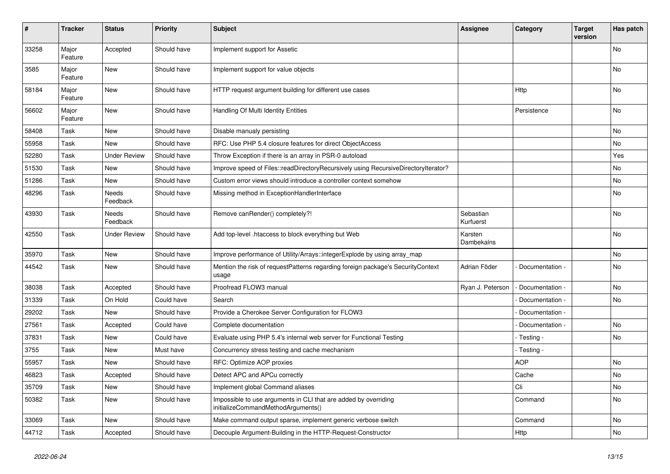| #     | <b>Tracker</b>   | <b>Status</b>       | <b>Priority</b> | <b>Subject</b>                                                                                        | <b>Assignee</b>        | Category          | Target<br>version | Has patch      |
|-------|------------------|---------------------|-----------------|-------------------------------------------------------------------------------------------------------|------------------------|-------------------|-------------------|----------------|
| 33258 | Major<br>Feature | Accepted            | Should have     | Implement support for Assetic                                                                         |                        |                   |                   | No             |
| 3585  | Major<br>Feature | New                 | Should have     | Implement support for value objects                                                                   |                        |                   |                   | No             |
| 58184 | Major<br>Feature | <b>New</b>          | Should have     | HTTP request argument building for different use cases                                                |                        | Http              |                   | No             |
| 56602 | Major<br>Feature | <b>New</b>          | Should have     | Handling Of Multi Identity Entities                                                                   |                        | Persistence       |                   | <b>No</b>      |
| 58408 | Task             | New                 | Should have     | Disable manualy persisting                                                                            |                        |                   |                   | No             |
| 55958 | Task             | <b>New</b>          | Should have     | RFC: Use PHP 5.4 closure features for direct ObjectAccess                                             |                        |                   |                   | No             |
| 52280 | Task             | <b>Under Review</b> | Should have     | Throw Exception if there is an array in PSR-0 autoload                                                |                        |                   |                   | Yes            |
| 51530 | Task             | New                 | Should have     | Improve speed of Files::readDirectoryRecursively using RecursiveDirectoryIterator?                    |                        |                   |                   | No             |
| 51286 | Task             | <b>New</b>          | Should have     | Custom error views should introduce a controller context somehow                                      |                        |                   |                   | No             |
| 48296 | Task             | Needs<br>Feedback   | Should have     | Missing method in ExceptionHandlerInterface                                                           |                        |                   |                   | No             |
| 43930 | Task             | Needs<br>Feedback   | Should have     | Remove canRender() completely?!                                                                       | Sebastian<br>Kurfuerst |                   |                   | No             |
| 42550 | Task             | <b>Under Review</b> | Should have     | Add top-level .htaccess to block everything but Web                                                   | Karsten<br>Dambekalns  |                   |                   | <b>No</b>      |
| 35970 | Task             | <b>New</b>          | Should have     | Improve performance of Utility/Arrays::integerExplode by using array map                              |                        |                   |                   | No             |
| 44542 | Task             | New                 | Should have     | Mention the risk of requestPatterns regarding foreign package's SecurityContext<br>usage              | Adrian Föder           | Documentation -   |                   | No             |
| 38038 | Task             | Accepted            | Should have     | Proofread FLOW3 manual                                                                                | Ryan J. Peterson       | - Documentation - |                   | N <sub>o</sub> |
| 31339 | Task             | On Hold             | Could have      | Search                                                                                                |                        | Documentation -   |                   | <b>No</b>      |
| 29202 | Task             | <b>New</b>          | Should have     | Provide a Cherokee Server Configuration for FLOW3                                                     |                        | Documentation -   |                   |                |
| 27561 | Task             | Accepted            | Could have      | Complete documentation                                                                                |                        | Documentation -   |                   | N <sub>o</sub> |
| 37831 | Task             | New                 | Could have      | Evaluate using PHP 5.4's internal web server for Functional Testing                                   |                        | - Testing -       |                   | No             |
| 3755  | Task             | <b>New</b>          | Must have       | Concurrency stress testing and cache mechanism                                                        |                        | - Testing -       |                   |                |
| 55957 | Task             | New                 | Should have     | RFC: Optimize AOP proxies                                                                             |                        | <b>AOP</b>        |                   | No             |
| 46823 | Task             | Accepted            | Should have     | Detect APC and APCu correctly                                                                         |                        | Cache             |                   | No             |
| 35709 | Task             | New                 | Should have     | Implement global Command aliases                                                                      |                        | Cli               |                   | No             |
| 50382 | Task             | New                 | Should have     | Impossible to use arguments in CLI that are added by overriding<br>initializeCommandMethodArguments() |                        | Command           |                   | No             |
| 33069 | Task             | New                 | Should have     | Make command output sparse, implement generic verbose switch                                          |                        | Command           |                   | No             |
| 44712 | Task             | Accepted            | Should have     | Decouple Argument-Building in the HTTP-Request-Constructor                                            |                        | <b>Http</b>       |                   | No             |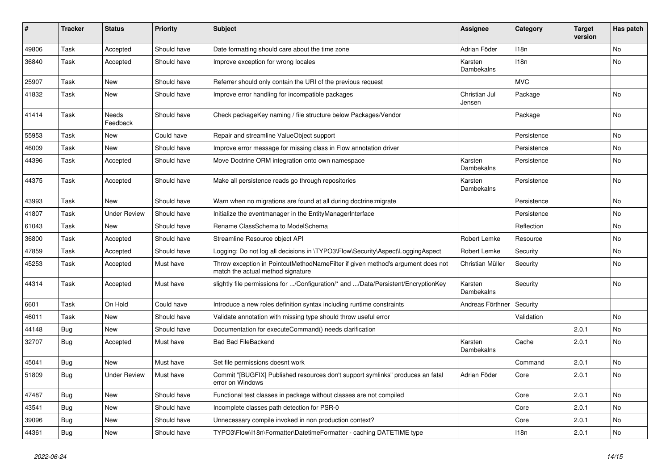| #     | <b>Tracker</b> | <b>Status</b>       | <b>Priority</b> | <b>Subject</b>                                                                                                       | Assignee                | Category         | <b>Target</b><br>version | Has patch |
|-------|----------------|---------------------|-----------------|----------------------------------------------------------------------------------------------------------------------|-------------------------|------------------|--------------------------|-----------|
| 49806 | Task           | Accepted            | Should have     | Date formatting should care about the time zone                                                                      | Adrian Föder            | 118n             |                          | No        |
| 36840 | Task           | Accepted            | Should have     | Improve exception for wrong locales                                                                                  | Karsten<br>Dambekalns   | 118 <sub>n</sub> |                          | No        |
| 25907 | Task           | <b>New</b>          | Should have     | Referrer should only contain the URI of the previous request                                                         |                         | <b>MVC</b>       |                          |           |
| 41832 | Task           | <b>New</b>          | Should have     | Improve error handling for incompatible packages                                                                     | Christian Jul<br>Jensen | Package          |                          | No        |
| 41414 | Task           | Needs<br>Feedback   | Should have     | Check packageKey naming / file structure below Packages/Vendor                                                       |                         | Package          |                          | No        |
| 55953 | Task           | <b>New</b>          | Could have      | Repair and streamline ValueObject support                                                                            |                         | Persistence      |                          | <b>No</b> |
| 46009 | Task           | <b>New</b>          | Should have     | Improve error message for missing class in Flow annotation driver                                                    |                         | Persistence      |                          | No        |
| 44396 | Task           | Accepted            | Should have     | Move Doctrine ORM integration onto own namespace                                                                     | Karsten<br>Dambekalns   | Persistence      |                          | <b>No</b> |
| 44375 | Task           | Accepted            | Should have     | Make all persistence reads go through repositories                                                                   | Karsten<br>Dambekalns   | Persistence      |                          | No        |
| 43993 | Task           | <b>New</b>          | Should have     | Warn when no migrations are found at all during doctrine: migrate                                                    |                         | Persistence      |                          | No        |
| 41807 | Task           | <b>Under Review</b> | Should have     | Initialize the eventmanager in the EntityManagerInterface                                                            |                         | Persistence      |                          | No        |
| 61043 | Task           | <b>New</b>          | Should have     | Rename ClassSchema to ModelSchema                                                                                    |                         | Reflection       |                          | No        |
| 36800 | Task           | Accepted            | Should have     | Streamline Resource object API                                                                                       | Robert Lemke            | Resource         |                          | No        |
| 47859 | Task           | Accepted            | Should have     | Logging: Do not log all decisions in \TYPO3\Flow\Security\Aspect\LoggingAspect                                       | Robert Lemke            | Security         |                          | No        |
| 45253 | Task           | Accepted            | Must have       | Throw exception in PointcutMethodNameFilter if given method's argument does not<br>match the actual method signature | Christian Müller        | Security         |                          | No        |
| 44314 | Task           | Accepted            | Must have       | slightly file permissions for /Configuration/* and /Data/Persistent/EncryptionKey                                    | Karsten<br>Dambekalns   | Security         |                          | No        |
| 6601  | Task           | On Hold             | Could have      | Introduce a new roles definition syntax including runtime constraints                                                | Andreas Förthner        | Security         |                          |           |
| 46011 | Task           | <b>New</b>          | Should have     | Validate annotation with missing type should throw useful error                                                      |                         | Validation       |                          | No        |
| 44148 | Bug            | New                 | Should have     | Documentation for executeCommand() needs clarification                                                               |                         |                  | 2.0.1                    | No        |
| 32707 | Bug            | Accepted            | Must have       | <b>Bad Bad FileBackend</b>                                                                                           | Karsten<br>Dambekalns   | Cache            | 2.0.1                    | <b>No</b> |
| 45041 | Bug            | <b>New</b>          | Must have       | Set file permissions doesnt work                                                                                     |                         | Command          | 2.0.1                    | No        |
| 51809 | Bug            | <b>Under Review</b> | Must have       | Commit "[BUGFIX] Published resources don't support symlinks" produces an fatal<br>error on Windows                   | Adrian Föder            | Core             | 2.0.1                    | <b>No</b> |
| 47487 | Bug            | <b>New</b>          | Should have     | Functional test classes in package without classes are not compiled                                                  |                         | Core             | 2.0.1                    | No        |
| 43541 | <b>Bug</b>     | New                 | Should have     | Incomplete classes path detection for PSR-0                                                                          |                         | Core             | 2.0.1                    | No        |
| 39096 | <b>Bug</b>     | <b>New</b>          | Should have     | Unnecessary compile invoked in non production context?                                                               |                         | Core             | 2.0.1                    | No        |
| 44361 | <b>Bug</b>     | <b>New</b>          | Should have     | TYPO3\Flow\I18n\Formatter\DatetimeFormatter - caching DATETIME type                                                  |                         | 118n             | 2.0.1                    | No        |